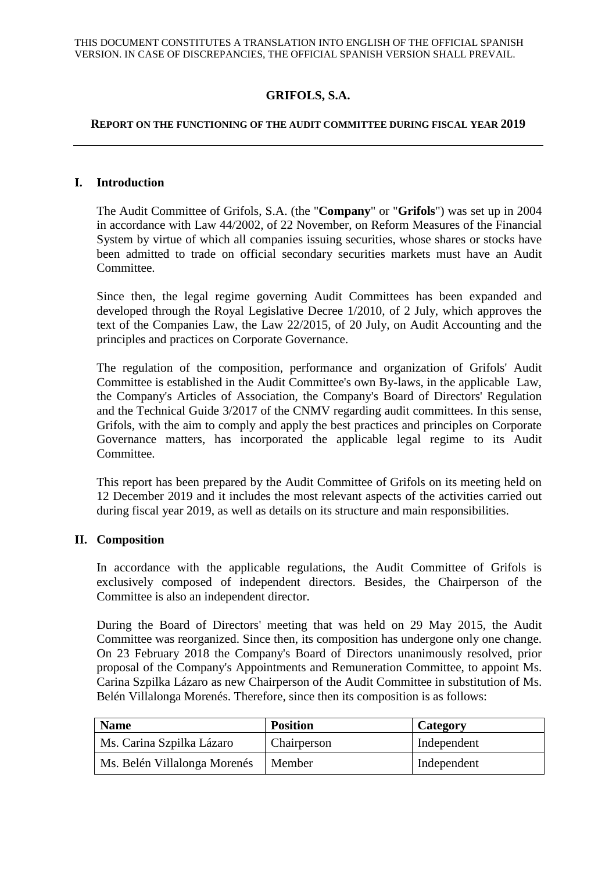# **GRIFOLS, S.A.**

#### **REPORT ON THE FUNCTIONING OF THE AUDIT COMMITTEE DURING FISCAL YEAR 2019**

#### **I. Introduction**

The Audit Committee of Grifols, S.A. (the "**Company**" or "**Grifols**") was set up in 2004 in accordance with Law 44/2002, of 22 November, on Reform Measures of the Financial System by virtue of which all companies issuing securities, whose shares or stocks have been admitted to trade on official secondary securities markets must have an Audit Committee.

Since then, the legal regime governing Audit Committees has been expanded and developed through the Royal Legislative Decree 1/2010, of 2 July, which approves the text of the Companies Law, the Law 22/2015, of 20 July, on Audit Accounting and the principles and practices on Corporate Governance.

The regulation of the composition, performance and organization of Grifols' Audit Committee is established in the Audit Committee's own By-laws, in the applicable Law, the Company's Articles of Association, the Company's Board of Directors' Regulation and the Technical Guide 3/2017 of the CNMV regarding audit committees. In this sense, Grifols, with the aim to comply and apply the best practices and principles on Corporate Governance matters, has incorporated the applicable legal regime to its Audit Committee.

This report has been prepared by the Audit Committee of Grifols on its meeting held on 12 December 2019 and it includes the most relevant aspects of the activities carried out during fiscal year 2019, as well as details on its structure and main responsibilities.

#### **II. Composition**

In accordance with the applicable regulations, the Audit Committee of Grifols is exclusively composed of independent directors. Besides, the Chairperson of the Committee is also an independent director.

During the Board of Directors' meeting that was held on 29 May 2015, the Audit Committee was reorganized. Since then, its composition has undergone only one change. On 23 February 2018 the Company's Board of Directors unanimously resolved, prior proposal of the Company's Appointments and Remuneration Committee, to appoint Ms. Carina Szpilka Lázaro as new Chairperson of the Audit Committee in substitution of Ms. Belén Villalonga Morenés. Therefore, since then its composition is as follows:

| <b>Name</b>                  | <b>Position</b> | Category    |
|------------------------------|-----------------|-------------|
| Ms. Carina Szpilka Lázaro    | Chairperson     | Independent |
| Ms. Belén Villalonga Morenés | Member          | Independent |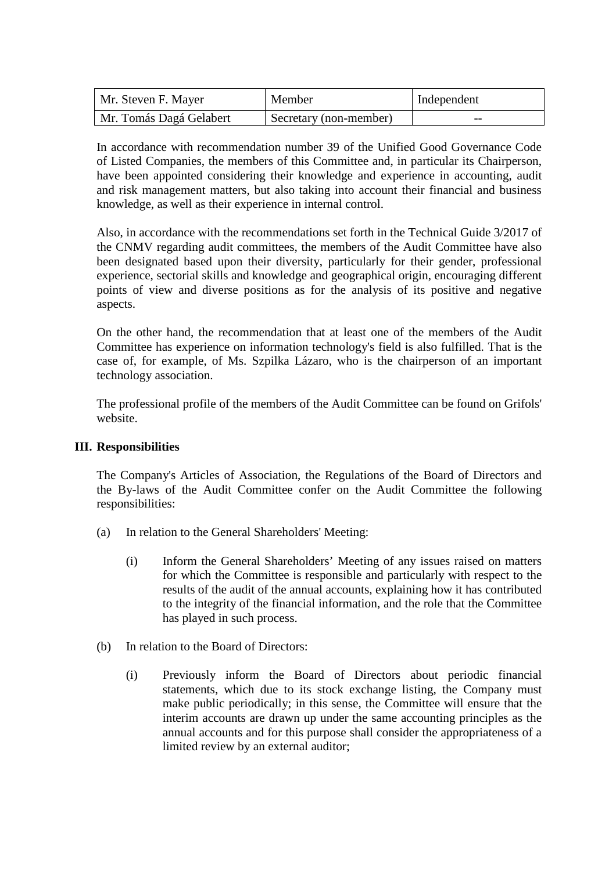| Mr. Steven F. Mayer     | Member                 | Independent |
|-------------------------|------------------------|-------------|
| Mr. Tomás Dagá Gelabert | Secretary (non-member) | --          |

In accordance with recommendation number 39 of the Unified Good Governance Code of Listed Companies, the members of this Committee and, in particular its Chairperson, have been appointed considering their knowledge and experience in accounting, audit and risk management matters, but also taking into account their financial and business knowledge, as well as their experience in internal control.

Also, in accordance with the recommendations set forth in the Technical Guide 3/2017 of the CNMV regarding audit committees, the members of the Audit Committee have also been designated based upon their diversity, particularly for their gender, professional experience, sectorial skills and knowledge and geographical origin, encouraging different points of view and diverse positions as for the analysis of its positive and negative aspects.

On the other hand, the recommendation that at least one of the members of the Audit Committee has experience on information technology's field is also fulfilled. That is the case of, for example, of Ms. Szpilka Lázaro, who is the chairperson of an important technology association.

The professional profile of the members of the Audit Committee can be found on Grifols' website.

## **III. Responsibilities**

The Company's Articles of Association, the Regulations of the Board of Directors and the By-laws of the Audit Committee confer on the Audit Committee the following responsibilities:

- (a) In relation to the General Shareholders' Meeting:
	- (i) Inform the General Shareholders' Meeting of any issues raised on matters for which the Committee is responsible and particularly with respect to the results of the audit of the annual accounts, explaining how it has contributed to the integrity of the financial information, and the role that the Committee has played in such process.
- (b) In relation to the Board of Directors:
	- (i) Previously inform the Board of Directors about periodic financial statements, which due to its stock exchange listing, the Company must make public periodically; in this sense, the Committee will ensure that the interim accounts are drawn up under the same accounting principles as the annual accounts and for this purpose shall consider the appropriateness of a limited review by an external auditor;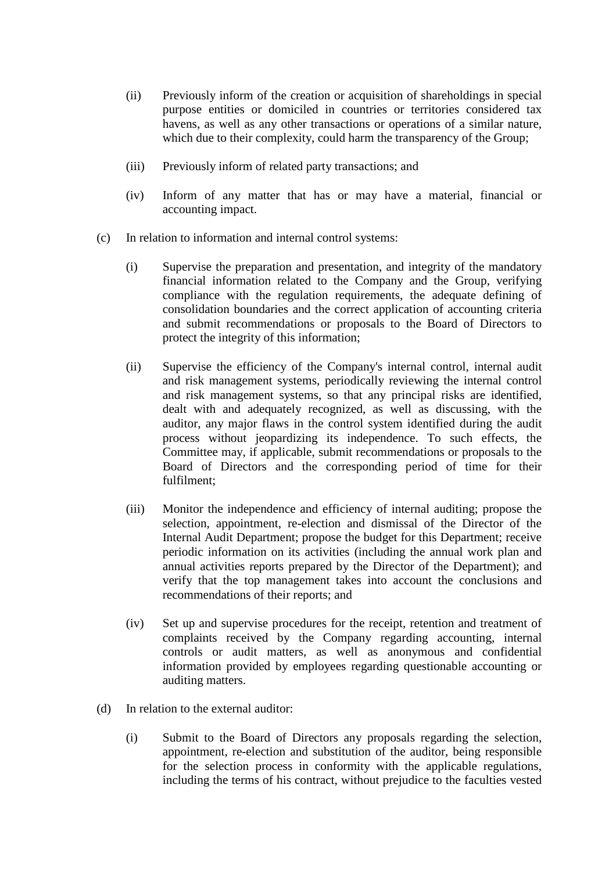- (ii) Previously inform of the creation or acquisition of shareholdings in special purpose entities or domiciled in countries or territories considered tax havens, as well as any other transactions or operations of a similar nature, which due to their complexity, could harm the transparency of the Group;
- (iii) Previously inform of related party transactions; and
- (iv) Inform of any matter that has or may have a material, financial or accounting impact.
- (c) In relation to information and internal control systems:
	- (i) Supervise the preparation and presentation, and integrity of the mandatory financial information related to the Company and the Group, verifying compliance with the regulation requirements, the adequate defining of consolidation boundaries and the correct application of accounting criteria and submit recommendations or proposals to the Board of Directors to protect the integrity of this information;
	- (ii) Supervise the efficiency of the Company's internal control, internal audit and risk management systems, periodically reviewing the internal control and risk management systems, so that any principal risks are identified, dealt with and adequately recognized, as well as discussing, with the auditor, any major flaws in the control system identified during the audit process without jeopardizing its independence. To such effects, the Committee may, if applicable, submit recommendations or proposals to the Board of Directors and the corresponding period of time for their fulfilment;
	- (iii) Monitor the independence and efficiency of internal auditing; propose the selection, appointment, re-election and dismissal of the Director of the Internal Audit Department; propose the budget for this Department; receive periodic information on its activities (including the annual work plan and annual activities reports prepared by the Director of the Department); and verify that the top management takes into account the conclusions and recommendations of their reports; and
	- (iv) Set up and supervise procedures for the receipt, retention and treatment of complaints received by the Company regarding accounting, internal controls or audit matters, as well as anonymous and confidential information provided by employees regarding questionable accounting or auditing matters.
- (d) In relation to the external auditor:
	- (i) Submit to the Board of Directors any proposals regarding the selection, appointment, re-election and substitution of the auditor, being responsible for the selection process in conformity with the applicable regulations, including the terms of his contract, without prejudice to the faculties vested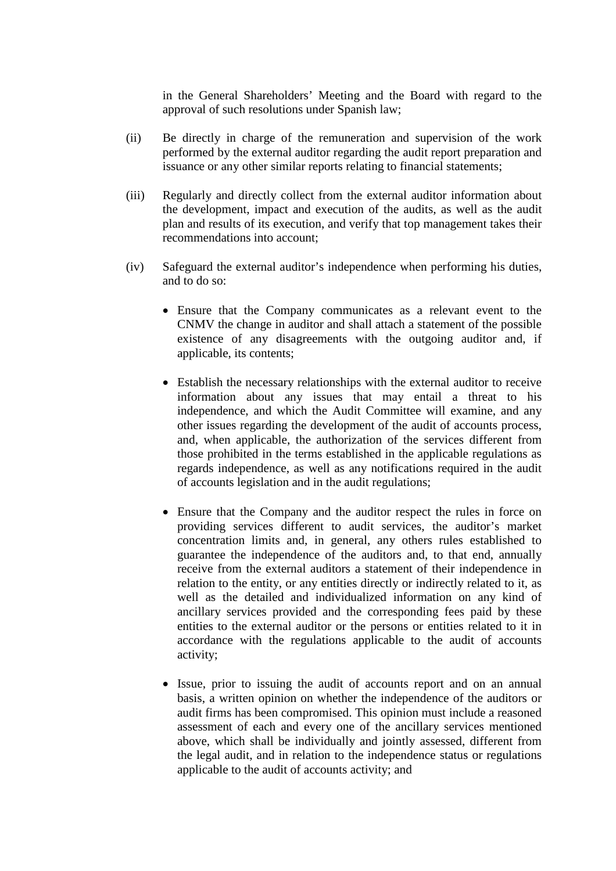in the General Shareholders' Meeting and the Board with regard to the approval of such resolutions under Spanish law;

- (ii) Be directly in charge of the remuneration and supervision of the work performed by the external auditor regarding the audit report preparation and issuance or any other similar reports relating to financial statements;
- (iii) Regularly and directly collect from the external auditor information about the development, impact and execution of the audits, as well as the audit plan and results of its execution, and verify that top management takes their recommendations into account;
- (iv) Safeguard the external auditor's independence when performing his duties, and to do so:
	- Ensure that the Company communicates as a relevant event to the CNMV the change in auditor and shall attach a statement of the possible existence of any disagreements with the outgoing auditor and, if applicable, its contents;
	- Establish the necessary relationships with the external auditor to receive information about any issues that may entail a threat to his independence, and which the Audit Committee will examine, and any other issues regarding the development of the audit of accounts process, and, when applicable, the authorization of the services different from those prohibited in the terms established in the applicable regulations as regards independence, as well as any notifications required in the audit of accounts legislation and in the audit regulations;
	- Ensure that the Company and the auditor respect the rules in force on providing services different to audit services, the auditor's market concentration limits and, in general, any others rules established to guarantee the independence of the auditors and, to that end, annually receive from the external auditors a statement of their independence in relation to the entity, or any entities directly or indirectly related to it, as well as the detailed and individualized information on any kind of ancillary services provided and the corresponding fees paid by these entities to the external auditor or the persons or entities related to it in accordance with the regulations applicable to the audit of accounts activity;
	- Issue, prior to issuing the audit of accounts report and on an annual basis, a written opinion on whether the independence of the auditors or audit firms has been compromised. This opinion must include a reasoned assessment of each and every one of the ancillary services mentioned above, which shall be individually and jointly assessed, different from the legal audit, and in relation to the independence status or regulations applicable to the audit of accounts activity; and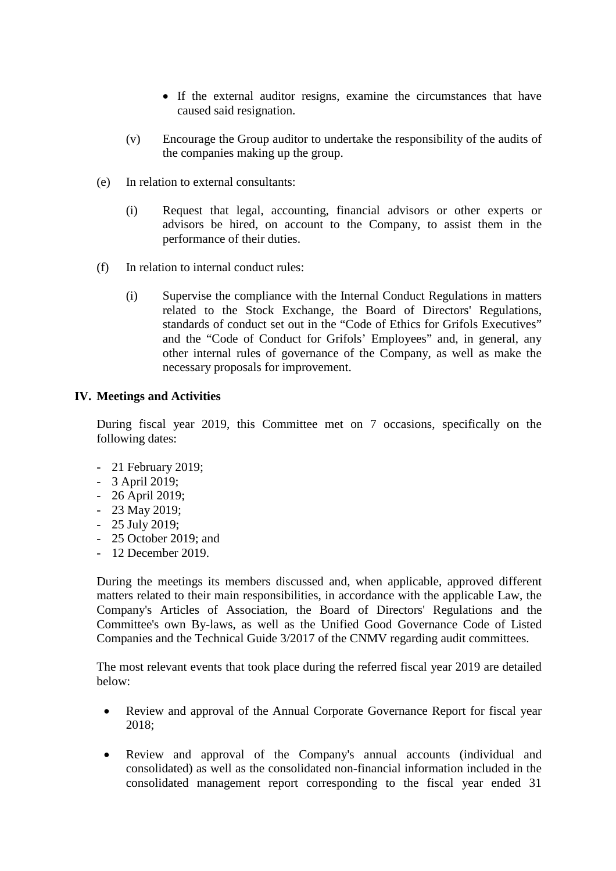- If the external auditor resigns, examine the circumstances that have caused said resignation.
- (v) Encourage the Group auditor to undertake the responsibility of the audits of the companies making up the group.
- (e) In relation to external consultants:
	- (i) Request that legal, accounting, financial advisors or other experts or advisors be hired, on account to the Company, to assist them in the performance of their duties.
- (f) In relation to internal conduct rules:
	- (i) Supervise the compliance with the Internal Conduct Regulations in matters related to the Stock Exchange, the Board of Directors' Regulations, standards of conduct set out in the "Code of Ethics for Grifols Executives" and the "Code of Conduct for Grifols' Employees" and, in general, any other internal rules of governance of the Company, as well as make the necessary proposals for improvement.

### **IV. Meetings and Activities**

During fiscal year 2019, this Committee met on 7 occasions, specifically on the following dates:

- 21 February 2019;
- 3 April 2019;
- 26 April 2019;
- 23 May 2019;
- 25 July 2019;
- 25 October 2019; and
- 12 December 2019.

During the meetings its members discussed and, when applicable, approved different matters related to their main responsibilities, in accordance with the applicable Law, the Company's Articles of Association, the Board of Directors' Regulations and the Committee's own By-laws, as well as the Unified Good Governance Code of Listed Companies and the Technical Guide 3/2017 of the CNMV regarding audit committees.

The most relevant events that took place during the referred fiscal year 2019 are detailed below:

- Review and approval of the Annual Corporate Governance Report for fiscal year 2018;
- Review and approval of the Company's annual accounts (individual and consolidated) as well as the consolidated non-financial information included in the consolidated management report corresponding to the fiscal year ended 31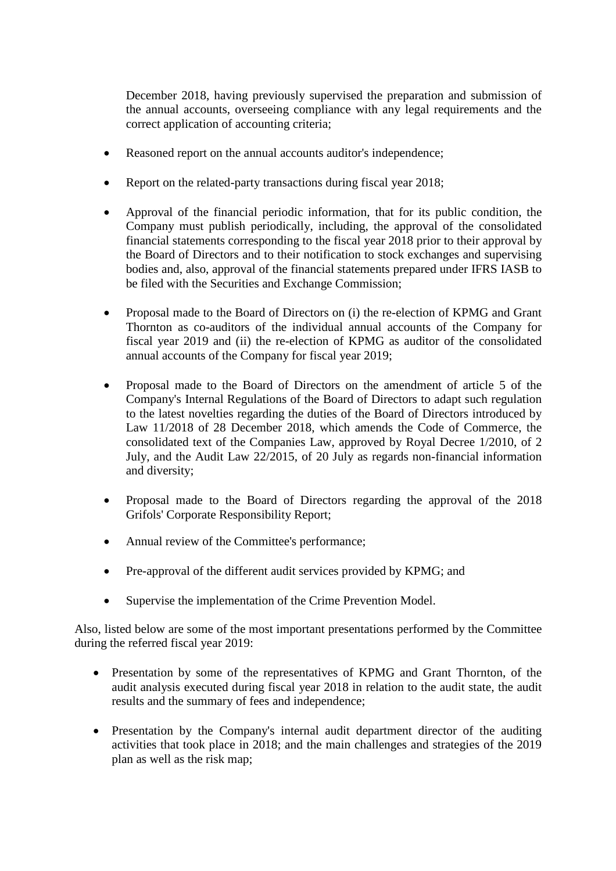December 2018, having previously supervised the preparation and submission of the annual accounts, overseeing compliance with any legal requirements and the correct application of accounting criteria;

- Reasoned report on the annual accounts auditor's independence;
- Report on the related-party transactions during fiscal year 2018;
- Approval of the financial periodic information, that for its public condition, the Company must publish periodically, including, the approval of the consolidated financial statements corresponding to the fiscal year 2018 prior to their approval by the Board of Directors and to their notification to stock exchanges and supervising bodies and, also, approval of the financial statements prepared under IFRS IASB to be filed with the Securities and Exchange Commission;
- Proposal made to the Board of Directors on (i) the re-election of KPMG and Grant Thornton as co-auditors of the individual annual accounts of the Company for fiscal year 2019 and (ii) the re-election of KPMG as auditor of the consolidated annual accounts of the Company for fiscal year 2019;
- Proposal made to the Board of Directors on the amendment of article 5 of the Company's Internal Regulations of the Board of Directors to adapt such regulation to the latest novelties regarding the duties of the Board of Directors introduced by Law 11/2018 of 28 December 2018, which amends the Code of Commerce, the consolidated text of the Companies Law, approved by Royal Decree 1/2010, of 2 July, and the Audit Law 22/2015, of 20 July as regards non-financial information and diversity;
- Proposal made to the Board of Directors regarding the approval of the 2018 Grifols' Corporate Responsibility Report;
- Annual review of the Committee's performance;
- Pre-approval of the different audit services provided by KPMG; and
- Supervise the implementation of the Crime Prevention Model.

Also, listed below are some of the most important presentations performed by the Committee during the referred fiscal year 2019:

- Presentation by some of the representatives of KPMG and Grant Thornton, of the audit analysis executed during fiscal year 2018 in relation to the audit state, the audit results and the summary of fees and independence;
- Presentation by the Company's internal audit department director of the auditing activities that took place in 2018; and the main challenges and strategies of the 2019 plan as well as the risk map;